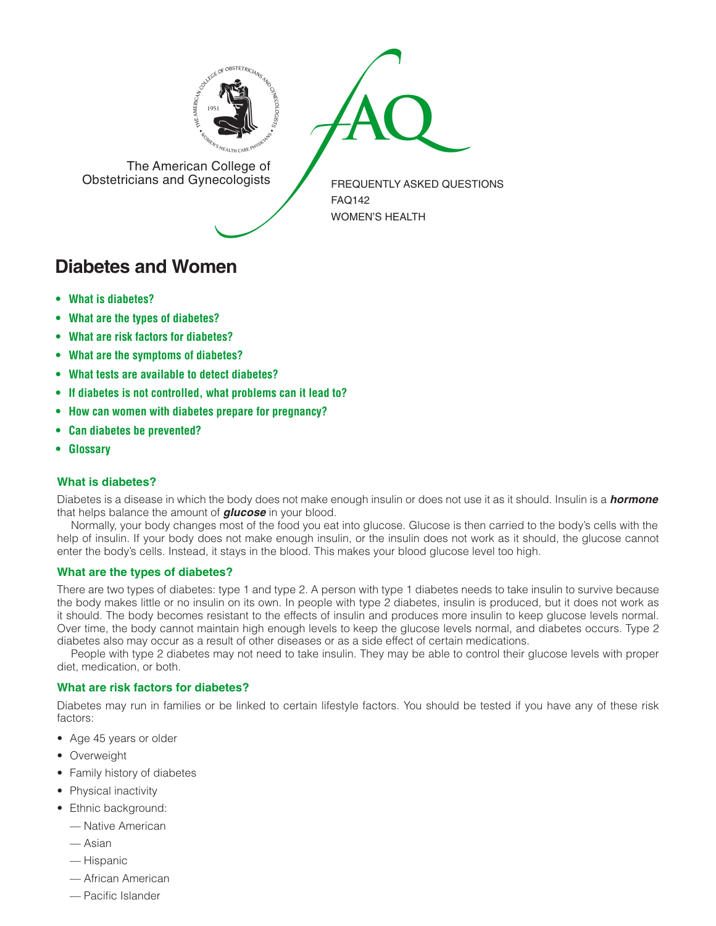



The American College of<br>Obstetricians and Gynecologists

FREQUENTLY ASKED QUESTIONS FAQ142 WOMEN'S HEALTH

# **Diabetes and Women**

- **• What is diabetes?**
- **• What are the types of diabetes?**
- **• What are risk factors for diabetes?**
- **• What are the symptoms of diabetes?**
- **• What tests are available to detect diabetes?**
- **• If diabetes is not controlled, what problems can it lead to?**
- **• How can women with diabetes prepare for pregnancy?**
- **• Can diabetes be prevented?**
- **• Glossary**

### **What is diabetes?**

Diabetes is a disease in which the body does not make enough insulin or does not use it as it should. Insulin is a *hormone* that helps balance the amount of *glucose* in your blood.

Normally, your body changes most of the food you eat into glucose. Glucose is then carried to the body's cells with the help of insulin. If your body does not make enough insulin, or the insulin does not work as it should, the glucose cannot enter the body's cells. Instead, it stays in the blood. This makes your blood glucose level too high.

### **What are the types of diabetes?**

There are two types of diabetes: type 1 and type 2. A person with type 1 diabetes needs to take insulin to survive because the body makes little or no insulin on its own. In people with type 2 diabetes, insulin is produced, but it does not work as it should. The body becomes resistant to the effects of insulin and produces more insulin to keep glucose levels normal. Over time, the body cannot maintain high enough levels to keep the glucose levels normal, and diabetes occurs. Type 2 diabetes also may occur as a result of other diseases or as a side effect of certain medications.

People with type 2 diabetes may not need to take insulin. They may be able to control their glucose levels with proper diet, medication, or both.

### **What are risk factors for diabetes?**

Diabetes may run in families or be linked to certain lifestyle factors. You should be tested if you have any of these risk factors:

- Age 45 years or older
- Overweight
- Family history of diabetes
- Physical inactivity
- Ethnic background:
	- Native American
	- Asian
	- Hispanic
	- African American
	- Pacific Islander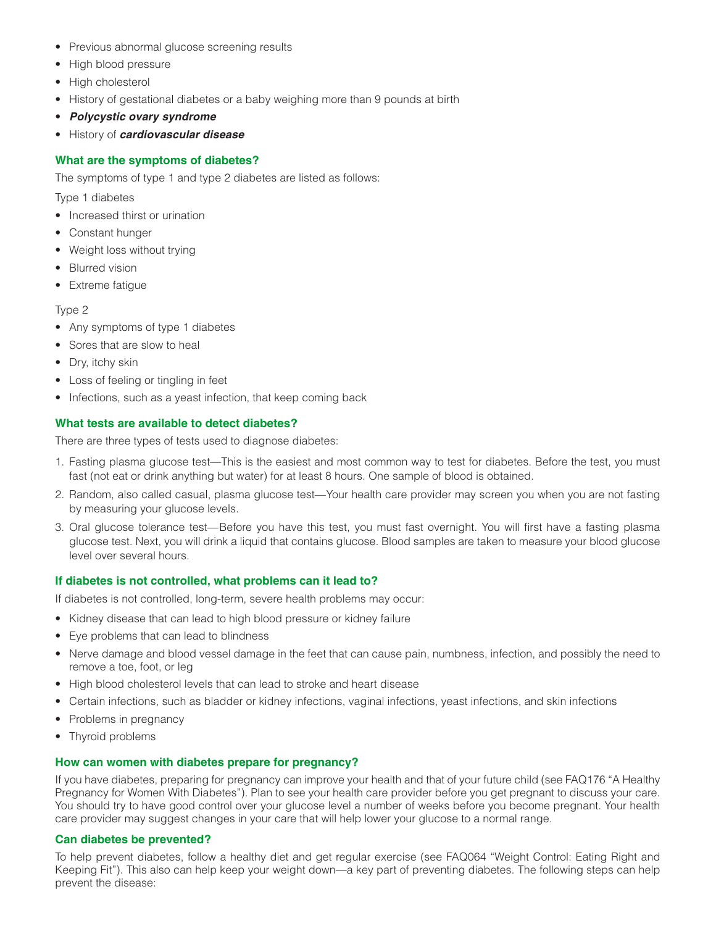- Previous abnormal glucose screening results
- High blood pressure
- High cholesterol
- History of gestational diabetes or a baby weighing more than 9 pounds at birth
- *Polycystic ovary syndrome*
- History of *cardiovascular disease*

## **What are the symptoms of diabetes?**

The symptoms of type 1 and type 2 diabetes are listed as follows:

Type 1 diabetes

- Increased thirst or urination
- Constant hunger
- Weight loss without trying
- Blurred vision
- Extreme fatigue

#### Type 2

- Any symptoms of type 1 diabetes
- Sores that are slow to heal
- Dry, itchy skin
- Loss of feeling or tingling in feet
- Infections, such as a yeast infection, that keep coming back

### **What tests are available to detect diabetes?**

There are three types of tests used to diagnose diabetes:

- 1. Fasting plasma glucose test—This is the easiest and most common way to test for diabetes. Before the test, you must fast (not eat or drink anything but water) for at least 8 hours. One sample of blood is obtained.
- 2. Random, also called casual, plasma glucose test—Your health care provider may screen you when you are not fasting by measuring your glucose levels.
- 3. Oral glucose tolerance test—Before you have this test, you must fast overnight. You will first have a fasting plasma glucose test. Next, you will drink a liquid that contains glucose. Blood samples are taken to measure your blood glucose level over several hours.

### **If diabetes is not controlled, what problems can it lead to?**

If diabetes is not controlled, long-term, severe health problems may occur:

- Kidney disease that can lead to high blood pressure or kidney failure
- Eye problems that can lead to blindness
- Nerve damage and blood vessel damage in the feet that can cause pain, numbness, infection, and possibly the need to remove a toe, foot, or leg
- High blood cholesterol levels that can lead to stroke and heart disease
- Certain infections, such as bladder or kidney infections, vaginal infections, yeast infections, and skin infections
- Problems in pregnancy
- Thyroid problems

### **How can women with diabetes prepare for pregnancy?**

If you have diabetes, preparing for pregnancy can improve your health and that of your future child (see FAQ176 "A Healthy Pregnancy for Women With Diabetes"). Plan to see your health care provider before you get pregnant to discuss your care. You should try to have good control over your glucose level a number of weeks before you become pregnant. Your health care provider may suggest changes in your care that will help lower your glucose to a normal range.

### **Can diabetes be prevented?**

To help prevent diabetes, follow a healthy diet and get regular exercise (see FAQ064 "Weight Control: Eating Right and Keeping Fit"). This also can help keep your weight down—a key part of preventing diabetes. The following steps can help prevent the disease: